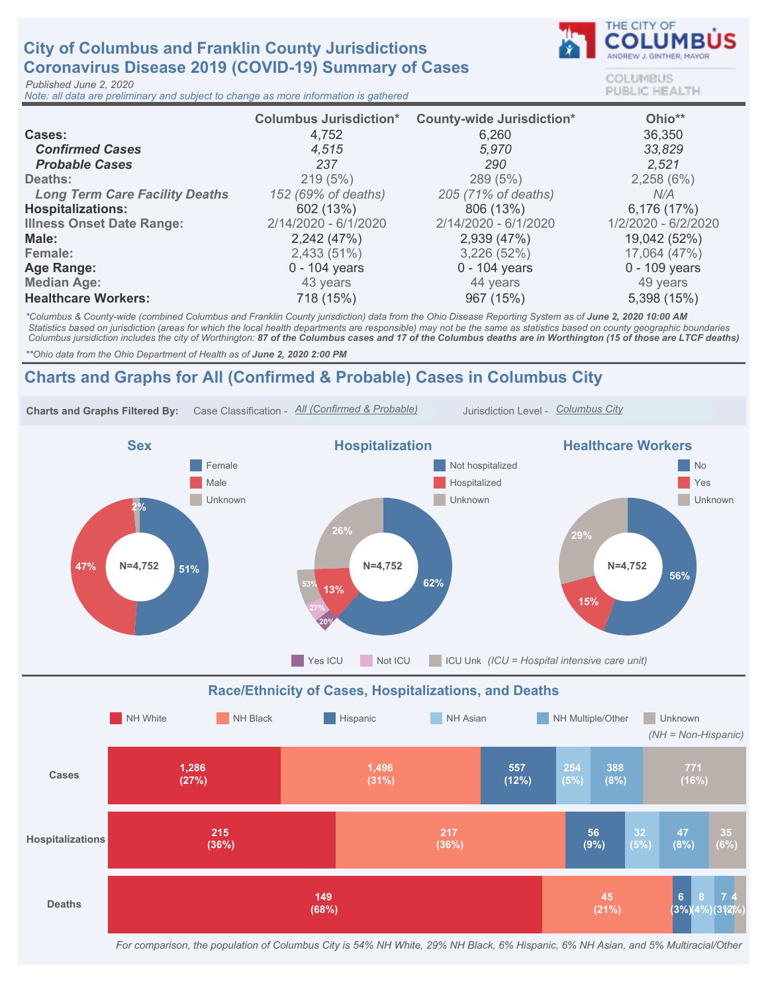# City of Columbus and Franklin County Jurisdictions Coronavirus Disease 2019 (COVID-19) Summary of Cases

Published June 2, 2020

Note: all data are preliminary and subject to change as more information is gathered



COLUMBUS **PUBLIC HEALTH** 

|                                       | <b>Columbus Jurisdiction*</b> | <b>County-wide Jurisdiction*</b> | Ohio**              |
|---------------------------------------|-------------------------------|----------------------------------|---------------------|
| Cases:                                | 4,752                         | 6,260                            | 36,350              |
| <b>Confirmed Cases</b>                | 4,515                         | 5,970                            | 33,829              |
| <b>Probable Cases</b>                 | 237                           | 290                              | 2,521               |
| Deaths:                               | 219(5%)                       | 289 (5%)                         | 2,258(6%)           |
| <b>Long Term Care Facility Deaths</b> | 152 (69% of deaths)           | 205 (71% of deaths)              | N/A                 |
| <b>Hospitalizations:</b>              | 602 (13%)                     | 806 (13%)                        | 6,176 (17%)         |
| <b>Illness Onset Date Range:</b>      | 2/14/2020 - 6/1/2020          | 2/14/2020 - 6/1/2020             | 1/2/2020 - 6/2/2020 |
| Male:                                 | 2,242 (47%)                   | 2,939 (47%)                      | 19,042 (52%)        |
| Female:                               | 2,433 (51%)                   | 3,226(52%)                       | 17,064 (47%)        |
| Age Range:                            | $0 - 104$ years               | $0 - 104$ years                  | $0 - 109$ years     |
| <b>Median Age:</b>                    | 43 years                      | 44 years                         | 49 years            |
| <b>Healthcare Workers:</b>            | 718 (15%)                     | 967 (15%)                        | 5,398 (15%)         |

\*Columbus & County-wide (combined Columbus and Franklin County jurisdiction) data from the Ohio Disease Reporting System as of June 2, 2020 10:00 AM Statistics based on jurisdiction (areas for which the local health departments are responsible) may not be the same as statistics based on county geographic boundaries Columbus jursidiction includes the city of Worthington: 87 of the Columbus cases and 17 of the Columbus deaths are in Worthington (15 of those are LTCF deaths)

\*\* Ohio data from the Ohio Department of Health as of June 2, 2020 2:00 PM

## Charts and Graphs for All (Confirmed & Probable) Cases in Columbus City



For comparison, the population of Columbus City is 54% NH White, 29% NH Black, 6% Hispanic, 6% NH Asian, and 5% Multiracial/Other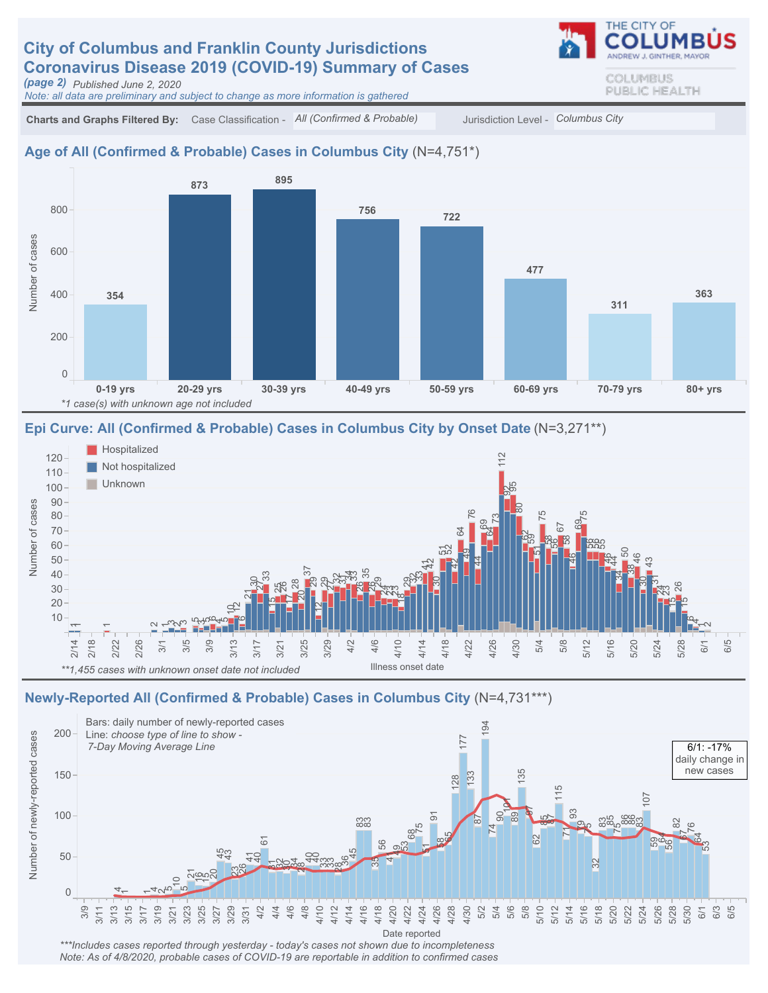# **City of Columbus and Franklin County Jurisdictions** Coronavirus Disease 2019 (COVID-19) Summary of Cases

(page 2) Published June 2, 2020

Note: all data are preliminary and subject to change as more information is gathered

Charts and Graphs Filtered By: Case Classification - All (Confirmed & Probable) Jurisdiction Level - Columbus City

#### Age of All (Confirmed & Probable) Cases in Columbus City (N=4,751\*)



#### Epi Curve: All (Confirmed & Probable) Cases in Columbus City by Onset Date (N=3,271\*\*)



#### Newly-Reported All (Confirmed & Probable) Cases in Columbus City (N=4,731\*\*\*)



\*\*\*Includes cases reported through yesterday - today's cases not shown due to incompleteness Note: As of 4/8/2020, probable cases of COVID-19 are reportable in addition to confirmed cases